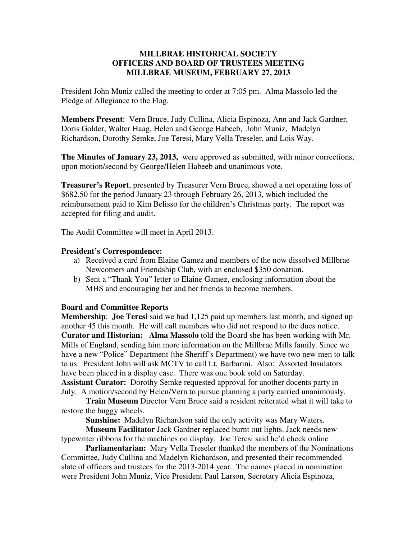## **MILLBRAE HISTORICAL SOCIETY OFFICERS AND BOARD OF TRUSTEES MEETING MILLBRAE MUSEUM, FEBRUARY 27, 2013**

President John Muniz called the meeting to order at 7:05 pm. Alma Massolo led the Pledge of Allegiance to the Flag.

**Members Present**: Vern Bruce, Judy Cullina, Alicia Espinoza, Ann and Jack Gardner, Doris Golder, Walter Haag, Helen and George Habeeb, John Muniz, Madelyn Richardson, Dorothy Semke, Joe Teresi, Mary Vella Treseler, and Lois Way.

**The Minutes of January 23, 2013,** were approved as submitted, with minor corrections, upon motion/second by George/Helen Habeeb and unanimous vote.

**Treasurer's Report**, presented by Treasurer Vern Bruce, showed a net operating loss of \$682.50 for the period January 23 through February 26, 2013, which included the reimbursement paid to Kim Belisso for the children's Christmas party. The report was accepted for filing and audit.

The Audit Committee will meet in April 2013.

## **President's Correspondence:**

- a) Received a card from Elaine Gamez and members of the now dissolved Millbrae Newcomers and Friendship Club, with an enclosed \$350 donation.
- b) Sent a "Thank You" letter to Elaine Gamez, enclosing information about the MHS and encouraging her and her friends to become members.

## **Board and Committee Reports**

**Membership**: **Joe Teresi** said we had 1,125 paid up members last month, and signed up another 45 this month. He will call members who did not respond to the dues notice. **Curator and Historian: Alma Massolo** told the Board she has been working with Mr. Mills of England, sending him more information on the Millbrae Mills family. Since we have a new "Police" Department (the Sheriff's Department) we have two new men to talk to us. President John will ask MCTV to call Lt. Barbarini. Also: Assorted Insulators have been placed in a display case. There was one book sold on Saturday. **Assistant Curator:** Dorothy Semke requested approval for another docents party in July. A motion/second by Helen/Vern to pursue planning a party carried unanimously.

**Train Museum** Director Vern Bruce said a resident reiterated what it will take to restore the buggy wheels.

**Sunshine:** Madelyn Richardson said the only activity was Mary Waters.

**Museum Facilitator** Jack Gardner replaced burnt out lights. Jack needs new typewriter ribbons for the machines on display. Joe Teresi said he'd check online

**Parliamentarian:** Mary Vella Treseler thanked the members of the Nominations Committee, Judy Cullina and Madelyn Richardson, and presented their recommended slate of officers and trustees for the 2013-2014 year. The names placed in nomination were President John Muniz, Vice President Paul Larson, Secretary Alicia Espinoza,